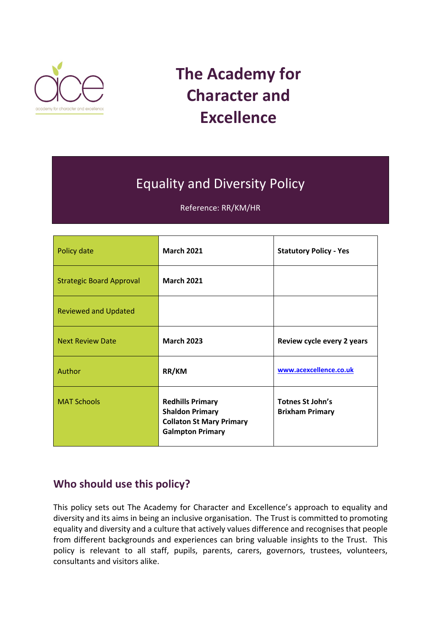

# **The Academy for Character and Excellence**

## Equality and Diversity Policy

Reference: RR/KM/HR

| Policy date                     | <b>March 2021</b>                                                                                               | <b>Statutory Policy - Yes</b>              |
|---------------------------------|-----------------------------------------------------------------------------------------------------------------|--------------------------------------------|
| <b>Strategic Board Approval</b> | <b>March 2021</b>                                                                                               |                                            |
| <b>Reviewed and Updated</b>     |                                                                                                                 |                                            |
| <b>Next Review Date</b>         | <b>March 2023</b>                                                                                               | Review cycle every 2 years                 |
| Author                          | RR/KM                                                                                                           | www.acexcellence.co.uk                     |
| <b>MAT Schools</b>              | <b>Redhills Primary</b><br><b>Shaldon Primary</b><br><b>Collaton St Mary Primary</b><br><b>Galmpton Primary</b> | Totnes St John's<br><b>Brixham Primary</b> |

## **Who should use this policy?**

This policy sets out The Academy for Character and Excellence's approach to equality and diversity and its aims in being an inclusive organisation. The Trust is committed to promoting equality and diversity and a culture that actively values difference and recognises that people from different backgrounds and experiences can bring valuable insights to the Trust. This policy is relevant to all staff, pupils, parents, carers, governors, trustees, volunteers, consultants and visitors alike.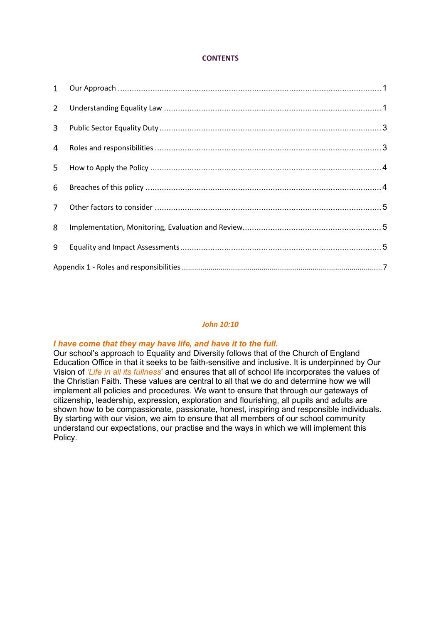### **CONTENTS**

| $2^{\circ}$    |  |
|----------------|--|
| 3              |  |
| $\overline{4}$ |  |
| 5              |  |
| 6              |  |
| $7^{\circ}$    |  |
| 8              |  |
| 9              |  |
|                |  |

### *John 10:10*

## *I have come that they may have life, and have it to the full.*

Our school's approach to Equality and Diversity follows that of the Church of England Education Office in that it seeks to be faith-sensitive and inclusive. It is underpinned by Our Vision of *'Life in all its fullness*' and ensures that all of school life incorporates the values of the Christian Faith. These values are central to all that we do and determine how we will implement all policies and procedures. We want to ensure that through our gateways of citizenship, leadership, expression, exploration and flourishing, all pupils and adults are shown how to be compassionate, passionate, honest, inspiring and responsible individuals. By starting with our vision, we aim to ensure that all members of our school community understand our expectations, our practise and the ways in which we will implement this Policy.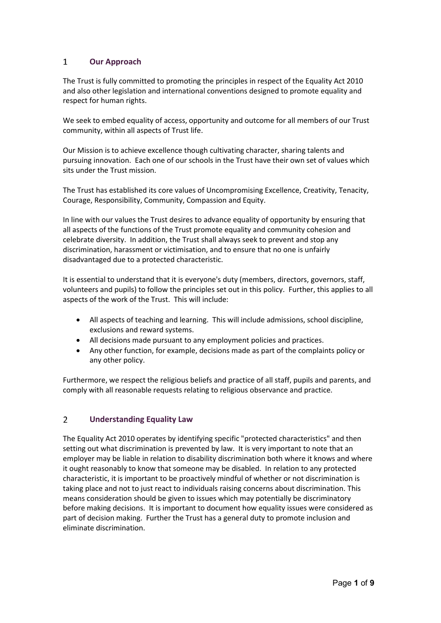#### <span id="page-2-0"></span> $\mathbf{1}$ **Our Approach**

The Trust is fully committed to promoting the principles in respect of the Equality Act 2010 and also other legislation and international conventions designed to promote equality and respect for human rights.

We seek to embed equality of access, opportunity and outcome for all members of our Trust community, within all aspects of Trust life.

Our Mission is to achieve excellence though cultivating character, sharing talents and pursuing innovation. Each one of our schools in the Trust have their own set of values which sits under the Trust mission.

The Trust has established its core values of Uncompromising Excellence, Creativity, Tenacity, Courage, Responsibility, Community, Compassion and Equity.

In line with our values the Trust desires to advance equality of opportunity by ensuring that all aspects of the functions of the Trust promote equality and community cohesion and celebrate diversity. In addition, the Trust shall always seek to prevent and stop any discrimination, harassment or victimisation, and to ensure that no one is unfairly disadvantaged due to a protected characteristic.

It is essential to understand that it is everyone's duty (members, directors, governors, staff, volunteers and pupils) to follow the principles set out in this policy. Further, this applies to all aspects of the work of the Trust. This will include:

- All aspects of teaching and learning. This will include admissions, school discipline, exclusions and reward systems.
- All decisions made pursuant to any employment policies and practices.
- Any other function, for example, decisions made as part of the complaints policy or any other policy.

Furthermore, we respect the religious beliefs and practice of all staff, pupils and parents, and comply with all reasonable requests relating to religious observance and practice.

#### <span id="page-2-1"></span> $\overline{2}$ **Understanding Equality Law**

The Equality Act 2010 operates by identifying specific "protected characteristics" and then setting out what discrimination is prevented by law. It is very important to note that an employer may be liable in relation to disability discrimination both where it knows and where it ought reasonably to know that someone may be disabled. In relation to any protected characteristic, it is important to be proactively mindful of whether or not discrimination is taking place and not to just react to individuals raising concerns about discrimination. This means consideration should be given to issues which may potentially be discriminatory before making decisions. It is important to document how equality issues were considered as part of decision making. Further the Trust has a general duty to promote inclusion and eliminate discrimination.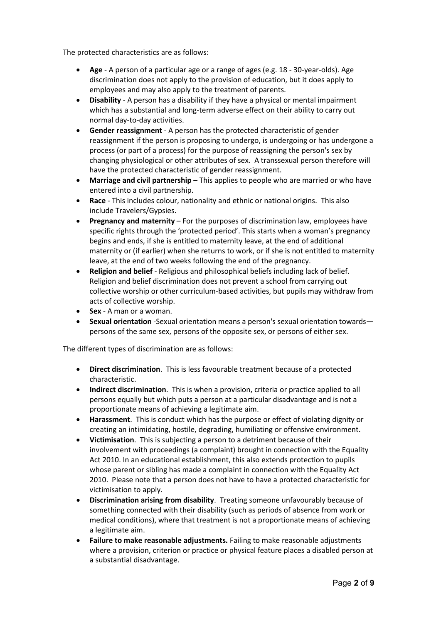The protected characteristics are as follows:

- **Age** A person of a particular age or a range of ages (e.g. 18 30-year-olds). Age discrimination does not apply to the provision of education, but it does apply to employees and may also apply to the treatment of parents.
- **Disability** A person has a disability if they have a physical or mental impairment which has a substantial and long-term adverse effect on their ability to carry out normal day-to-day activities.
- **Gender reassignment** A person has the protected characteristic of gender reassignment if the person is proposing to undergo, is undergoing or has undergone a process (or part of a process) for the purpose of reassigning the person's sex by changing physiological or other attributes of sex. A transsexual person therefore will have the protected characteristic of gender reassignment.
- **Marriage and civil partnership** This applies to people who are married or who have entered into a civil partnership.
- **Race** This includes colour, nationality and ethnic or national origins. This also include Travelers/Gypsies.
- **Pregnancy and maternity** For the purposes of discrimination law, employees have specific rights through the 'protected period'. This starts when a woman's pregnancy begins and ends, if she is entitled to maternity leave, at the end of additional maternity or (if earlier) when she returns to work, or if she is not entitled to maternity leave, at the end of two weeks following the end of the pregnancy.
- **Religion and belief** Religious and philosophical beliefs including lack of belief. Religion and belief discrimination does not prevent a school from carrying out collective worship or other curriculum-based activities, but pupils may withdraw from acts of collective worship.
- **Sex** A man or a woman.
- **Sexual orientation** -Sexual orientation means a person's sexual orientation towards persons of the same sex, persons of the opposite sex, or persons of either sex.

The different types of discrimination are as follows:

- **Direct discrimination**. This is less favourable treatment because of a protected characteristic.
- **Indirect discrimination**. This is when a provision, criteria or practice applied to all persons equally but which puts a person at a particular disadvantage and is not a proportionate means of achieving a legitimate aim.
- **Harassment**. This is conduct which has the purpose or effect of violating dignity or creating an intimidating, hostile, degrading, humiliating or offensive environment.
- **Victimisation**. This is subjecting a person to a detriment because of their involvement with proceedings (a complaint) brought in connection with the Equality Act 2010. In an educational establishment, this also extends protection to pupils whose parent or sibling has made a complaint in connection with the Equality Act 2010. Please note that a person does not have to have a protected characteristic for victimisation to apply.
- **Discrimination arising from disability**. Treating someone unfavourably because of something connected with their disability (such as periods of absence from work or medical conditions), where that treatment is not a proportionate means of achieving a legitimate aim.
- **Failure to make reasonable adjustments.** Failing to make reasonable adjustments where a provision, criterion or practice or physical feature places a disabled person at a substantial disadvantage.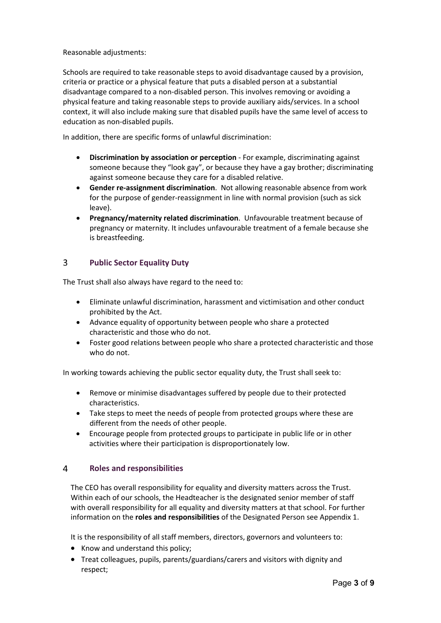Reasonable adjustments:

Schools are required to take reasonable steps to avoid disadvantage caused by a provision, criteria or practice or a physical feature that puts a disabled person at a substantial disadvantage compared to a non-disabled person. This involves removing or avoiding a physical feature and taking reasonable steps to provide auxiliary aids/services. In a school context, it will also include making sure that disabled pupils have the same level of access to education as non-disabled pupils.

In addition, there are specific forms of unlawful discrimination:

- **Discrimination by association or perception** For example, discriminating against someone because they "look gay", or because they have a gay brother; discriminating against someone because they care for a disabled relative.
- **Gender re-assignment discrimination**. Not allowing reasonable absence from work for the purpose of gender-reassignment in line with normal provision (such as sick leave).
- **Pregnancy/maternity related discrimination**. Unfavourable treatment because of pregnancy or maternity. It includes unfavourable treatment of a female because she is breastfeeding.

#### <span id="page-4-0"></span>3 **Public Sector Equality Duty**

The Trust shall also always have regard to the need to:

- Eliminate unlawful discrimination, harassment and victimisation and other conduct prohibited by the Act.
- Advance equality of opportunity between people who share a protected characteristic and those who do not.
- Foster good relations between people who share a protected characteristic and those who do not.

In working towards achieving the public sector equality duty, the Trust shall seek to:

- Remove or minimise disadvantages suffered by people due to their protected characteristics.
- Take steps to meet the needs of people from protected groups where these are different from the needs of other people.
- Encourage people from protected groups to participate in public life or in other activities where their participation is disproportionately low.

#### <span id="page-4-1"></span> $\overline{4}$ **Roles and responsibilities**

The CEO has overall responsibility for equality and diversity matters across the Trust. Within each of our schools, the Headteacher is the designated senior member of staff with overall responsibility for all equality and diversity matters at that school. For further information on the **roles and responsibilities** of the Designated Person see Appendix 1.

It is the responsibility of all staff members, directors, governors and volunteers to:

- Know and understand this policy;
- Treat colleagues, pupils, parents/guardians/carers and visitors with dignity and respect;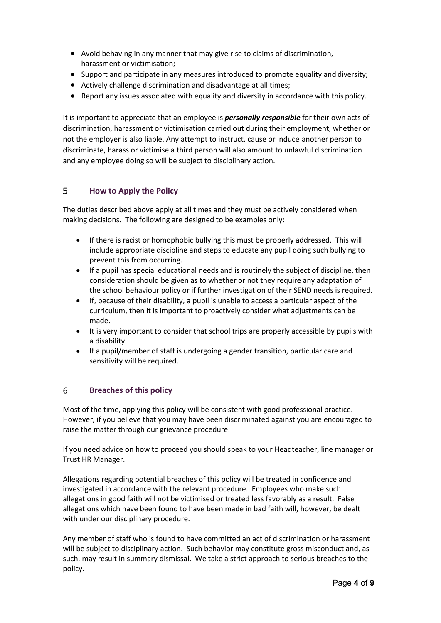- Avoid behaving in any manner that may give rise to claims of discrimination, harassment or victimisation;
- Support and participate in any measures introduced to promote equality and diversity;
- Actively challenge discrimination and disadvantage at all times;
- Report any issues associated with equality and diversity in accordance with this policy.

It is important to appreciate that an employee is *personally responsible* for their own acts of discrimination, harassment or victimisation carried out during their employment, whether or not the employer is also liable. Any attempt to instruct, cause or induce another person to discriminate, harass or victimise a third person will also amount to unlawful discrimination and any employee doing so will be subject to disciplinary action.

#### <span id="page-5-0"></span>5 **How to Apply the Policy**

The duties described above apply at all times and they must be actively considered when making decisions. The following are designed to be examples only:

- If there is racist or homophobic bullying this must be properly addressed. This will include appropriate discipline and steps to educate any pupil doing such bullying to prevent this from occurring.
- If a pupil has special educational needs and is routinely the subject of discipline, then consideration should be given as to whether or not they require any adaptation of the school behaviour policy or if further investigation of their SEND needs is required.
- If, because of their disability, a pupil is unable to access a particular aspect of the curriculum, then it is important to proactively consider what adjustments can be made.
- It is very important to consider that school trips are properly accessible by pupils with a disability.
- If a pupil/member of staff is undergoing a gender transition, particular care and sensitivity will be required.

#### <span id="page-5-1"></span>6 **Breaches of this policy**

Most of the time, applying this policy will be consistent with good professional practice. However, if you believe that you may have been discriminated against you are encouraged to raise the matter through our grievance procedure.

If you need advice on how to proceed you should speak to your Headteacher, line manager or Trust HR Manager.

Allegations regarding potential breaches of this policy will be treated in confidence and investigated in accordance with the relevant procedure. Employees who make such allegations in good faith will not be victimised or treated less favorably as a result. False allegations which have been found to have been made in bad faith will, however, be dealt with under our disciplinary procedure.

Any member of staff who is found to have committed an act of discrimination or harassment will be subject to disciplinary action. Such behavior may constitute gross misconduct and, as such, may result in summary dismissal. We take a strict approach to serious breaches to the policy.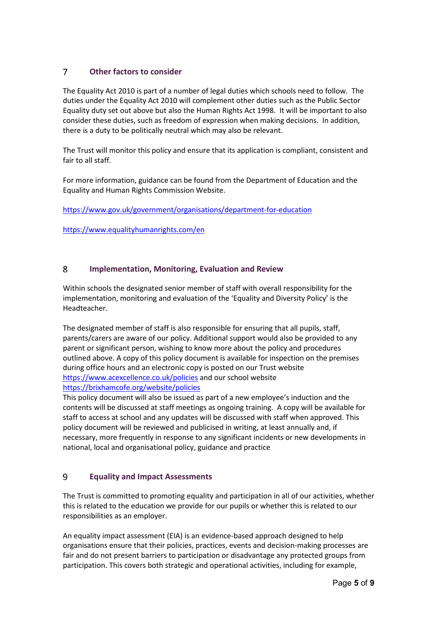#### <span id="page-6-0"></span> $\overline{7}$ **Other factors to consider**

The Equality Act 2010 is part of a number of legal duties which schools need to follow. The duties under the Equality Act 2010 will complement other duties such as the Public Sector Equality duty set out above but also the Human Rights Act 1998. It will be important to also consider these duties, such as freedom of expression when making decisions. In addition, there is a duty to be politically neutral which may also be relevant.

The Trust will monitor this policy and ensure that its application is compliant, consistent and fair to all staff.

For more information, guidance can be found from the Department of Education and the Equality and Human Rights Commission Website.

<https://www.gov.uk/government/organisations/department-for-education>

<https://www.equalityhumanrights.com/en>

#### <span id="page-6-1"></span>8 **Implementation, Monitoring, Evaluation and Review**

Within schools the designated senior member of staff with overall responsibility for the implementation, monitoring and evaluation of the 'Equality and Diversity Policy' is the Headteacher.

The designated member of staff is also responsible for ensuring that all pupils, staff, parents/carers are aware of our policy. Additional support would also be provided to any parent or significant person, wishing to know more about the policy and procedures outlined above. A copy of this policy document is available for inspection on the premises during office hours and an electronic copy is posted on our Trust website <https://www.acexcellence.co.uk/policies> and our school website <https://brixhamcofe.org/website/policies>

This policy document will also be issued as part of a new employee's induction and the contents will be discussed at staff meetings as ongoing training. A copy will be available for staff to access at school and any updates will be discussed with staff when approved. This policy document will be reviewed and publicised in writing, at least annually and, if necessary, more frequently in response to any significant incidents or new developments in national, local and organisational policy, guidance and practice

#### <span id="page-6-2"></span>9 **Equality and Impact Assessments**

The Trust is committed to promoting equality and participation in all of our activities, whether this is related to the education we provide for our pupils or whether this is related to our responsibilities as an employer.

An equality impact assessment (EIA) is an evidence-based approach designed to help organisations ensure that their policies, practices, events and decision-making processes are fair and do not present barriers to participation or disadvantage any protected groups from participation. This covers both strategic and operational activities, including for example,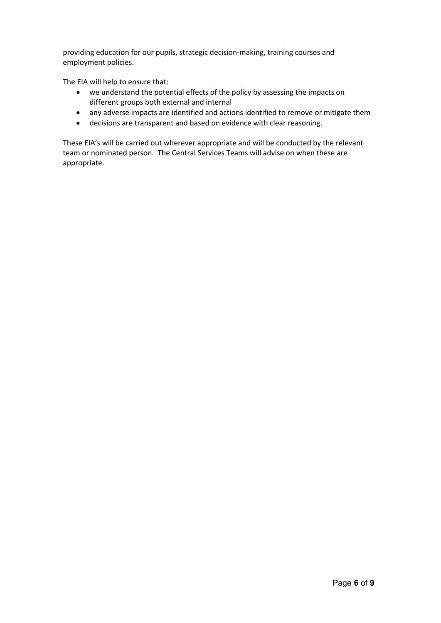providing education for our pupils, strategic decision-making, training courses and employment policies.

The EIA will help to ensure that:

- we understand the potential effects of the policy by assessing the impacts on different groups both external and internal
- any adverse impacts are identified and actions identified to remove or mitigate them
- decisions are transparent and based on evidence with clear reasoning.

These EIA's will be carried out wherever appropriate and will be conducted by the relevant team or nominated person. The Central Services Teams will advise on when these are appropriate.